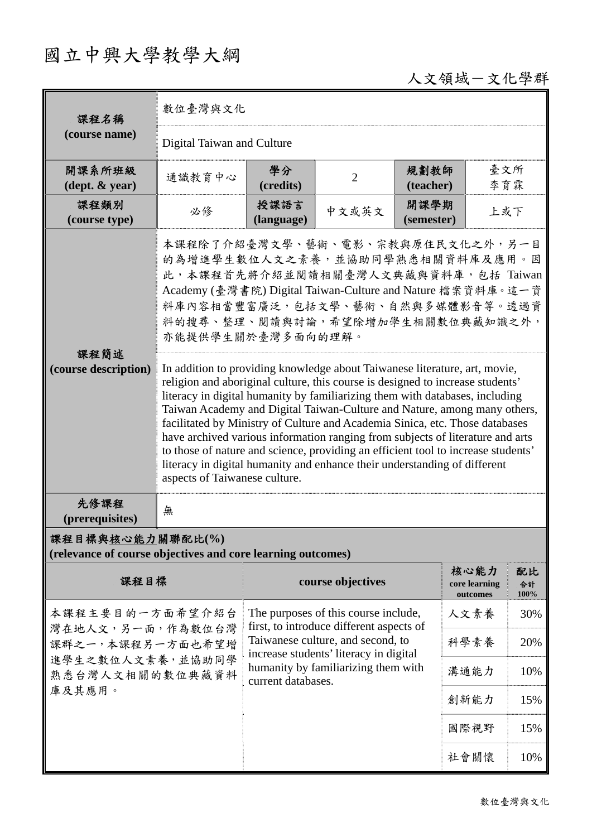## 國立中興大學教學大綱

## 人文領域-文化學群

| 課程名稱<br>(course name)                                                                          | 數位臺灣與文化                                                                                                                                                                                                                                                                                                                                                                                                                                                                                                                                                                                                                                                                                       |                                                                                                                                          |                   |                    |                                   |                  |  |
|------------------------------------------------------------------------------------------------|-----------------------------------------------------------------------------------------------------------------------------------------------------------------------------------------------------------------------------------------------------------------------------------------------------------------------------------------------------------------------------------------------------------------------------------------------------------------------------------------------------------------------------------------------------------------------------------------------------------------------------------------------------------------------------------------------|------------------------------------------------------------------------------------------------------------------------------------------|-------------------|--------------------|-----------------------------------|------------------|--|
|                                                                                                | Digital Taiwan and Culture                                                                                                                                                                                                                                                                                                                                                                                                                                                                                                                                                                                                                                                                    |                                                                                                                                          |                   |                    |                                   |                  |  |
| 開課系所班級<br>$(\text{dept.} \& \text{ year})$                                                     | 通識教育中心                                                                                                                                                                                                                                                                                                                                                                                                                                                                                                                                                                                                                                                                                        | 學分<br>(credits)                                                                                                                          | $\overline{2}$    | 規劃教師<br>(teacher)  | 臺文所<br>李育霖                        |                  |  |
| 課程類別<br>(course type)                                                                          | 必修                                                                                                                                                                                                                                                                                                                                                                                                                                                                                                                                                                                                                                                                                            | 授課語言<br>(language)                                                                                                                       | 中文或英文             | 開課學期<br>(semester) | 上或下                               |                  |  |
| 課程簡述<br>(course description)                                                                   | 本課程除了介紹臺灣文學、藝術、電影、宗教與原住民文化之外,另一目<br>的為增進學生數位人文之素養,並協助同學熟悉相關資料庫及應用。因<br>此,本課程首先將介紹並閱讀相關臺灣人文典藏與資料庫,包括 Taiwan<br>Academy (臺灣書院) Digital Taiwan-Culture and Nature 檔案資料庫。這一資<br>料庫內容相當豐富廣泛,包括文學、藝術、自然與多媒體影音等。透過資<br>料的搜尋、整理、閱讀與討論,希望除增加學生相關數位典藏知識之外,<br>亦能提供學生關於臺灣多面向的理解。                                                                                                                                                                                                                                                                                                                                                                                                                         |                                                                                                                                          |                   |                    |                                   |                  |  |
|                                                                                                | In addition to providing knowledge about Taiwanese literature, art, movie,<br>religion and aboriginal culture, this course is designed to increase students'<br>literacy in digital humanity by familiarizing them with databases, including<br>Taiwan Academy and Digital Taiwan-Culture and Nature, among many others,<br>facilitated by Ministry of Culture and Academia Sinica, etc. Those databases<br>have archived various information ranging from subjects of literature and arts<br>to those of nature and science, providing an efficient tool to increase students'<br>literacy in digital humanity and enhance their understanding of different<br>aspects of Taiwanese culture. |                                                                                                                                          |                   |                    |                                   |                  |  |
| 先修課程<br>(prerequisites)                                                                        | 無                                                                                                                                                                                                                                                                                                                                                                                                                                                                                                                                                                                                                                                                                             |                                                                                                                                          |                   |                    |                                   |                  |  |
| 課程目標與核心能力關聯配比(%)<br>(relevance of course objectives and core learning outcomes)                |                                                                                                                                                                                                                                                                                                                                                                                                                                                                                                                                                                                                                                                                                               |                                                                                                                                          |                   |                    |                                   |                  |  |
| 課程目標                                                                                           |                                                                                                                                                                                                                                                                                                                                                                                                                                                                                                                                                                                                                                                                                               |                                                                                                                                          | course objectives |                    | 核心能力<br>core learning<br>outcomes | 配比<br>合計<br>100% |  |
| 本課程主要目的一方面希望介紹台<br>灣在地人文,另一面,作為數位台灣<br>課群之一,本課程另一方面也希望增<br>進學生之數位人文素養,並協助同學<br>熟悉台灣人文相關的數位典藏資料 |                                                                                                                                                                                                                                                                                                                                                                                                                                                                                                                                                                                                                                                                                               | The purposes of this course include,<br>first, to introduce different aspects of                                                         |                   |                    | 人文素養                              | 30%              |  |
|                                                                                                |                                                                                                                                                                                                                                                                                                                                                                                                                                                                                                                                                                                                                                                                                               | Taiwanese culture, and second, to<br>increase students' literacy in digital<br>humanity by familiarizing them with<br>current databases. |                   |                    | 科學素養                              | 20%              |  |
|                                                                                                |                                                                                                                                                                                                                                                                                                                                                                                                                                                                                                                                                                                                                                                                                               |                                                                                                                                          |                   |                    | 溝通能力                              | 10%              |  |
| 庫及其應用。                                                                                         |                                                                                                                                                                                                                                                                                                                                                                                                                                                                                                                                                                                                                                                                                               |                                                                                                                                          |                   |                    | 創新能力                              | 15%              |  |
|                                                                                                |                                                                                                                                                                                                                                                                                                                                                                                                                                                                                                                                                                                                                                                                                               |                                                                                                                                          |                   |                    | 國際視野                              | 15%              |  |
|                                                                                                |                                                                                                                                                                                                                                                                                                                                                                                                                                                                                                                                                                                                                                                                                               |                                                                                                                                          |                   |                    | 社會關懷                              | 10%              |  |